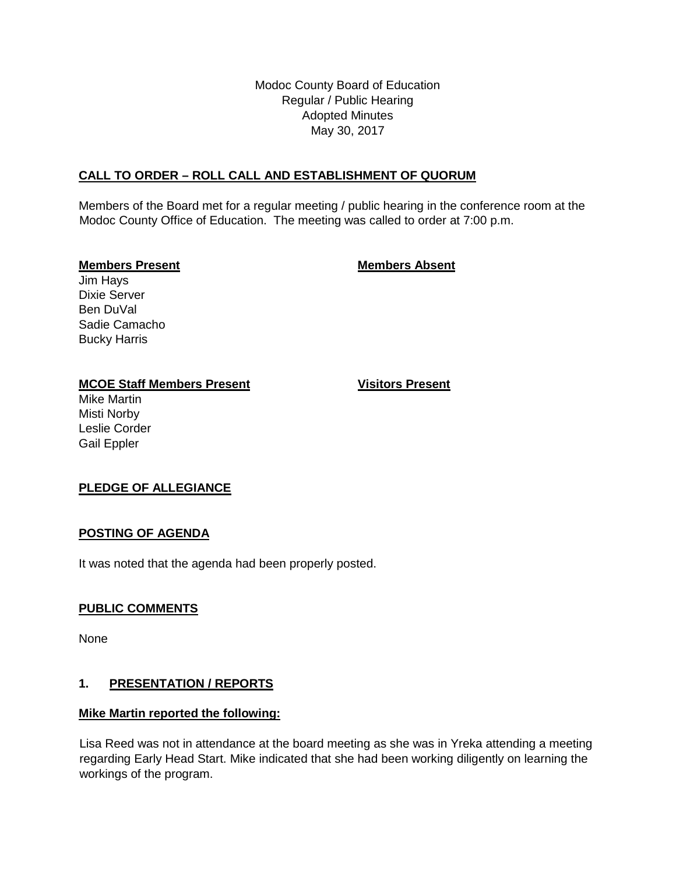Modoc County Board of Education Regular / Public Hearing Adopted Minutes May 30, 2017

# **CALL TO ORDER – ROLL CALL AND ESTABLISHMENT OF QUORUM**

Members of the Board met for a regular meeting / public hearing in the conference room at the Modoc County Office of Education. The meeting was called to order at 7:00 p.m.

#### **Members Present Members Absent**

Jim Hays Dixie Server Ben DuVal Sadie Camacho Bucky Harris

#### **MCOE Staff Members Present Visitors Present**

Mike Martin Misti Norby Leslie Corder Gail Eppler

## **PLEDGE OF ALLEGIANCE**

## **POSTING OF AGENDA**

It was noted that the agenda had been properly posted.

## **PUBLIC COMMENTS**

None

## **1. PRESENTATION / REPORTS**

#### **Mike Martin reported the following:**

Lisa Reed was not in attendance at the board meeting as she was in Yreka attending a meeting regarding Early Head Start. Mike indicated that she had been working diligently on learning the workings of the program.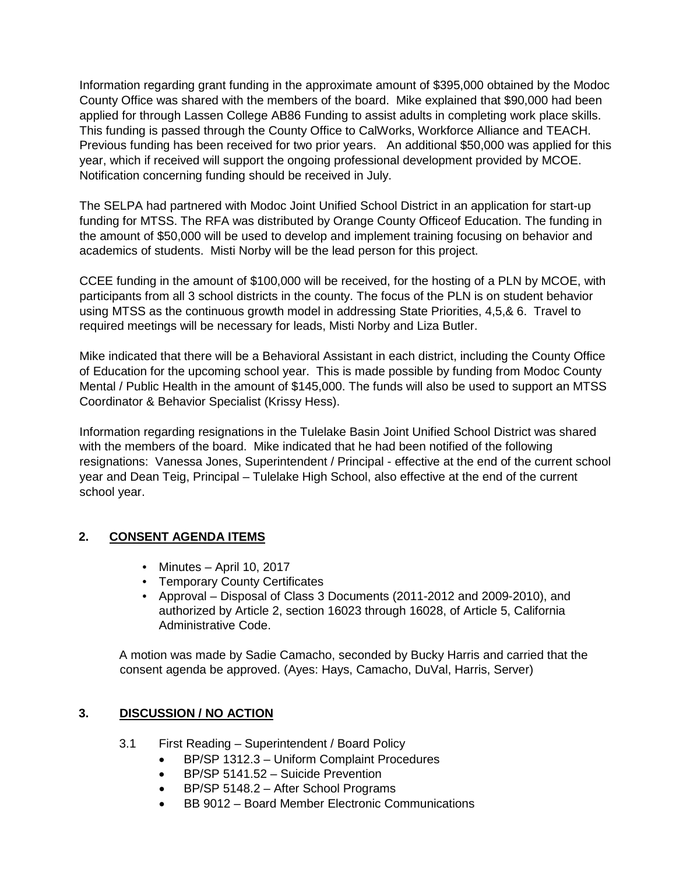Information regarding grant funding in the approximate amount of \$395,000 obtained by the Modoc County Office was shared with the members of the board. Mike explained that \$90,000 had been applied for through Lassen College AB86 Funding to assist adults in completing work place skills. This funding is passed through the County Office to CalWorks, Workforce Alliance and TEACH. Previous funding has been received for two prior years. An additional \$50,000 was applied for this year, which if received will support the ongoing professional development provided by MCOE. Notification concerning funding should be received in July.

The SELPA had partnered with Modoc Joint Unified School District in an application for start-up funding for MTSS. The RFA was distributed by Orange County Officeof Education. The funding in the amount of \$50,000 will be used to develop and implement training focusing on behavior and academics of students. Misti Norby will be the lead person for this project.

CCEE funding in the amount of \$100,000 will be received, for the hosting of a PLN by MCOE, with participants from all 3 school districts in the county. The focus of the PLN is on student behavior using MTSS as the continuous growth model in addressing State Priorities, 4,5,& 6. Travel to required meetings will be necessary for leads, Misti Norby and Liza Butler.

Mike indicated that there will be a Behavioral Assistant in each district, including the County Office of Education for the upcoming school year. This is made possible by funding from Modoc County Mental / Public Health in the amount of \$145,000. The funds will also be used to support an MTSS Coordinator & Behavior Specialist (Krissy Hess).

Information regarding resignations in the Tulelake Basin Joint Unified School District was shared with the members of the board. Mike indicated that he had been notified of the following resignations: Vanessa Jones, Superintendent / Principal - effective at the end of the current school year and Dean Teig, Principal – Tulelake High School, also effective at the end of the current school year.

# **2. CONSENT AGENDA ITEMS**

- Minutes April 10, 2017
- Temporary County Certificates
- Approval Disposal of Class 3 Documents (2011-2012 and 2009-2010), and authorized by Article 2, section 16023 through 16028, of Article 5, California Administrative Code.

A motion was made by Sadie Camacho, seconded by Bucky Harris and carried that the consent agenda be approved. (Ayes: Hays, Camacho, DuVal, Harris, Server)

# **3. DISCUSSION / NO ACTION**

- 3.1 First Reading Superintendent / Board Policy
	- BP/SP 1312.3 Uniform Complaint Procedures
	- BP/SP 5141.52 Suicide Prevention
	- BP/SP 5148.2 After School Programs
	- BB 9012 Board Member Electronic Communications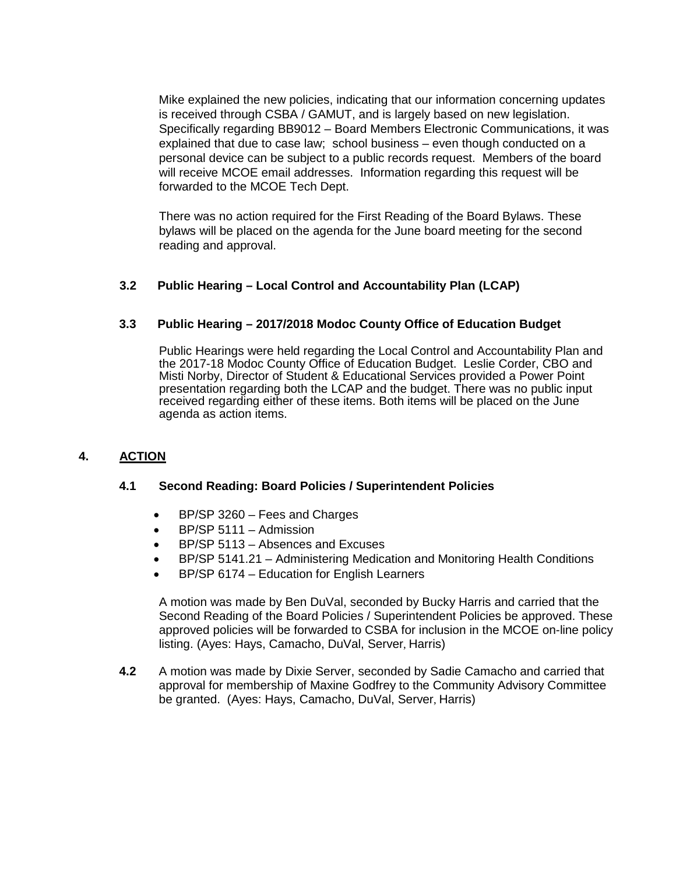Mike explained the new policies, indicating that our information concerning updates is received through CSBA / GAMUT, and is largely based on new legislation. Specifically regarding BB9012 – Board Members Electronic Communications, it was explained that due to case law; school business – even though conducted on a personal device can be subject to a public records request. Members of the board will receive MCOE email addresses. Information regarding this request will be forwarded to the MCOE Tech Dept.

There was no action required for the First Reading of the Board Bylaws. These bylaws will be placed on the agenda for the June board meeting for the second reading and approval.

# **3.2 Public Hearing – Local Control and Accountability Plan (LCAP)**

## **3.3 Public Hearing – 2017/2018 Modoc County Office of Education Budget**

Public Hearings were held regarding the Local Control and Accountability Plan and the 2017-18 Modoc County Office of Education Budget. Leslie Corder, CBO and Misti Norby, Director of Student & Educational Services provided a Power Point presentation regarding both the LCAP and the budget. There was no public input received regarding either of these items. Both items will be placed on the June agenda as action items.

## **4. ACTION**

### **4.1 Second Reading: Board Policies / Superintendent Policies**

- BP/SP 3260 Fees and Charges
- BP/SP 5111 Admission
- BP/SP 5113 Absences and Excuses
- BP/SP 5141.21 Administering Medication and Monitoring Health Conditions
- BP/SP 6174 Education for English Learners

A motion was made by Ben DuVal, seconded by Bucky Harris and carried that the Second Reading of the Board Policies / Superintendent Policies be approved. These approved policies will be forwarded to CSBA for inclusion in the MCOE on-line policy listing. (Ayes: Hays, Camacho, DuVal, Server, Harris)

**4.2** A motion was made by Dixie Server, seconded by Sadie Camacho and carried that approval for membership of Maxine Godfrey to the Community Advisory Committee be granted. (Ayes: Hays, Camacho, DuVal, Server, Harris)